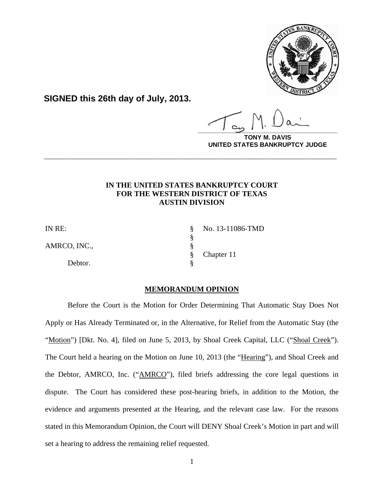

**SIGNED this 26th day of July, 2013.**

§

**\_\_\_\_\_\_\_\_\_\_\_\_\_\_\_\_\_\_\_\_\_\_\_\_\_\_\_\_\_\_\_\_\_\_\_\_\_\_\_\_**

**DAVIS UNITED STATES BANKRUPTCY JUDGE**

# **IN THE UNITED STATES BANKRUPTCY COURT FOR THE WESTERN DISTRICT OF TEXAS AUSTIN DIVISION**

**\_\_\_\_\_\_\_\_\_\_\_\_\_\_\_\_\_\_\_\_\_\_\_\_\_\_\_\_\_\_\_\_\_\_\_\_\_\_\_\_\_\_\_\_\_\_\_\_\_\_\_\_\_\_\_\_\_\_\_\_**

AMRCO, INC.,

Debtor.

IN RE: § No. 13-11086-TMD § Chapter 11

## **MEMORANDUM OPINION**

Before the Court is the Motion for Order Determining That Automatic Stay Does Not Apply or Has Already Terminated or, in the Alternative, for Relief from the Automatic Stay (the "Motion") [Dkt. No. 4], filed on June 5, 2013, by Shoal Creek Capital, LLC ("Shoal Creek"). The Court held a hearing on the Motion on June 10, 2013 (the "Hearing"), and Shoal Creek and the Debtor, AMRCO, Inc. ("AMRCO"), filed briefs addressing the core legal questions in dispute. The Court has considered these post-hearing briefs, in addition to the Motion, the evidence and arguments presented at the Hearing, and the relevant case law. For the reasons stated in this Memorandum Opinion, the Court will DENY Shoal Creek's Motion in part and will set a hearing to address the remaining relief requested.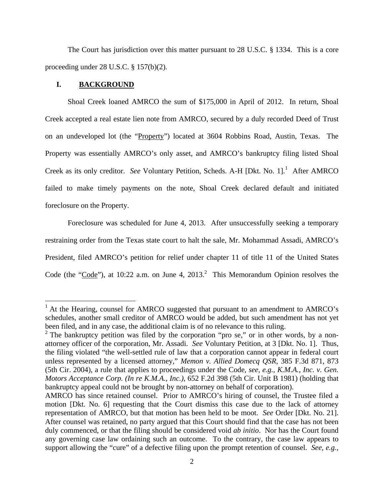The Court has jurisdiction over this matter pursuant to 28 U.S.C. § 1334. This is a core proceeding under 28 U.S.C. § 157(b)(2).

# **I. BACKGROUND**

 $\overline{a}$ 

Shoal Creek loaned AMRCO the sum of \$175,000 in April of 2012. In return, Shoal Creek accepted a real estate lien note from AMRCO, secured by a duly recorded Deed of Trust on an undeveloped lot (the "Property") located at 3604 Robbins Road, Austin, Texas. The Property was essentially AMRCO's only asset, and AMRCO's bankruptcy filing listed Shoal Creek as its only creditor. See Voluntary Petition, Scheds. A-H [Dkt. No. 1].<sup>1</sup> After AMRCO failed to make timely payments on the note, Shoal Creek declared default and initiated foreclosure on the Property.

Foreclosure was scheduled for June 4, 2013. After unsuccessfully seeking a temporary restraining order from the Texas state court to halt the sale, Mr. Mohammad Assadi, AMRCO's President, filed AMRCO's petition for relief under chapter 11 of title 11 of the United States Code (the "Code"), at 10:22 a.m. on June 4, 2013.<sup>2</sup> This Memorandum Opinion resolves the

 $<sup>1</sup>$  At the Hearing, counsel for AMRCO suggested that pursuant to an amendment to AMRCO's</sup> schedules, another small creditor of AMRCO would be added, but such amendment has not yet been filed, and in any case, the additional claim is of no relevance to this ruling.

 $2$  The bankruptcy petition was filed by the corporation "pro se," or in other words, by a nonattorney officer of the corporation, Mr. Assadi. *See* Voluntary Petition, at 3 [Dkt. No. 1]. Thus, the filing violated "the well-settled rule of law that a corporation cannot appear in federal court unless represented by a licensed attorney," *Memon v. Allied Domecq QSR*, 385 F.3d 871, 873 (5th Cir. 2004), a rule that applies to proceedings under the Code, *see, e.g.*, *K.M.A., Inc. v. Gen. Motors Acceptance Corp. (In re K.M.A., Inc.)*, 652 F.2d 398 (5th Cir. Unit B 1981) (holding that bankruptcy appeal could not be brought by non-attorney on behalf of corporation).

AMRCO has since retained counsel. Prior to AMRCO's hiring of counsel, the Trustee filed a motion [Dkt. No. 6] requesting that the Court dismiss this case due to the lack of attorney representation of AMRCO, but that motion has been held to be moot. *See* Order [Dkt. No. 21]. After counsel was retained, no party argued that this Court should find that the case has not been duly commenced, or that the filing should be considered void *ab initio*. Nor has the Court found any governing case law ordaining such an outcome. To the contrary, the case law appears to support allowing the "cure" of a defective filing upon the prompt retention of counsel. *See, e.g.,*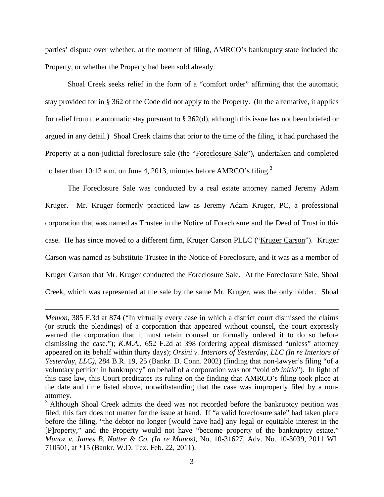parties' dispute over whether, at the moment of filing, AMRCO's bankruptcy state included the Property, or whether the Property had been sold already.

Shoal Creek seeks relief in the form of a "comfort order" affirming that the automatic stay provided for in § 362 of the Code did not apply to the Property. (In the alternative, it applies for relief from the automatic stay pursuant to § 362(d), although this issue has not been briefed or argued in any detail.) Shoal Creek claims that prior to the time of the filing, it had purchased the Property at a non-judicial foreclosure sale (the "Foreclosure Sale"), undertaken and completed no later than 10:12 a.m. on June 4, 2013, minutes before AMRCO's filing.<sup>3</sup>

The Foreclosure Sale was conducted by a real estate attorney named Jeremy Adam Kruger. Mr. Kruger formerly practiced law as Jeremy Adam Kruger, PC, a professional corporation that was named as Trustee in the Notice of Foreclosure and the Deed of Trust in this case. He has since moved to a different firm, Kruger Carson PLLC ("Kruger Carson"). Kruger Carson was named as Substitute Trustee in the Notice of Foreclosure, and it was as a member of Kruger Carson that Mr. Kruger conducted the Foreclosure Sale. At the Foreclosure Sale, Shoal Creek, which was represented at the sale by the same Mr. Kruger, was the only bidder. Shoal

*Memon*, 385 F.3d at 874 ("In virtually every case in which a district court dismissed the claims (or struck the pleadings) of a corporation that appeared without counsel, the court expressly warned the corporation that it must retain counsel or formally ordered it to do so before dismissing the case."); *K.M.A.*, 652 F.2d at 398 (ordering appeal dismissed "unless" attorney appeared on its behalf within thirty days); *Orsini v. Interiors of Yesterday, LLC (In re Interiors of Yesterday, LLC)*, 284 B.R. 19, 25 (Bankr. D. Conn. 2002) (finding that non-lawyer's filing "of a voluntary petition in bankruptcy" on behalf of a corporation was not "void *ab initio*"). In light of this case law, this Court predicates its ruling on the finding that AMRCO's filing took place at the date and time listed above, notwithstanding that the case was improperly filed by a nonattorney.

<sup>&</sup>lt;sup>3</sup> Although Shoal Creek admits the deed was not recorded before the bankruptcy petition was filed, this fact does not matter for the issue at hand. If "a valid foreclosure sale" had taken place before the filing, "the debtor no longer [would have had] any legal or equitable interest in the [P]roperty," and the Property would not have "become property of the bankruptcy estate." *Munoz v. James B. Nutter & Co. (In re Munoz)*, No. 10-31627, Adv. No. 10-3039, 2011 WL 710501, at \*15 (Bankr. W.D. Tex. Feb. 22, 2011).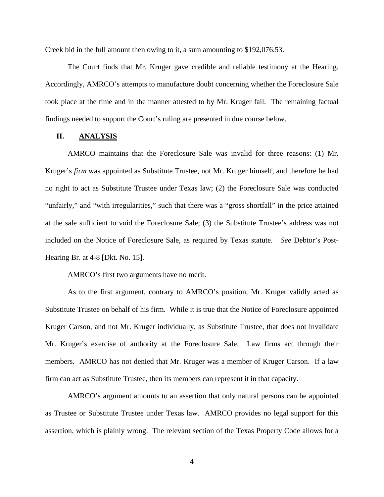Creek bid in the full amount then owing to it, a sum amounting to \$192,076.53.

The Court finds that Mr. Kruger gave credible and reliable testimony at the Hearing. Accordingly, AMRCO's attempts to manufacture doubt concerning whether the Foreclosure Sale took place at the time and in the manner attested to by Mr. Kruger fail. The remaining factual findings needed to support the Court's ruling are presented in due course below.

### **II. ANALYSIS**

AMRCO maintains that the Foreclosure Sale was invalid for three reasons: (1) Mr. Kruger's *firm* was appointed as Substitute Trustee, not Mr. Kruger himself, and therefore he had no right to act as Substitute Trustee under Texas law; (2) the Foreclosure Sale was conducted "unfairly," and "with irregularities," such that there was a "gross shortfall" in the price attained at the sale sufficient to void the Foreclosure Sale; (3) the Substitute Trustee's address was not included on the Notice of Foreclosure Sale, as required by Texas statute. *See* Debtor's Post-Hearing Br. at 4-8 [Dkt. No. 15].

AMRCO's first two arguments have no merit.

As to the first argument, contrary to AMRCO's position, Mr. Kruger validly acted as Substitute Trustee on behalf of his firm. While it is true that the Notice of Foreclosure appointed Kruger Carson, and not Mr. Kruger individually, as Substitute Trustee, that does not invalidate Mr. Kruger's exercise of authority at the Foreclosure Sale. Law firms act through their members. AMRCO has not denied that Mr. Kruger was a member of Kruger Carson. If a law firm can act as Substitute Trustee, then its members can represent it in that capacity.

AMRCO's argument amounts to an assertion that only natural persons can be appointed as Trustee or Substitute Trustee under Texas law. AMRCO provides no legal support for this assertion, which is plainly wrong. The relevant section of the Texas Property Code allows for a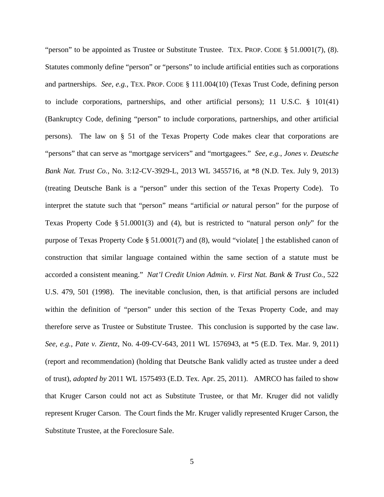"person" to be appointed as Trustee or Substitute Trustee. TEX. PROP. CODE  $\S$  51.0001(7), (8). Statutes commonly define "person" or "persons" to include artificial entities such as corporations and partnerships. *See, e.g.*, TEX. PROP. CODE § 111.004(10) (Texas Trust Code, defining person to include corporations, partnerships, and other artificial persons); 11 U.S.C. § 101(41) (Bankruptcy Code, defining "person" to include corporations, partnerships, and other artificial persons). The law on § 51 of the Texas Property Code makes clear that corporations are "persons" that can serve as "mortgage servicers" and "mortgagees." *See, e.g.*, *Jones v. Deutsche Bank Nat. Trust Co.*, No. 3:12-CV-3929-L, 2013 WL 3455716, at \*8 (N.D. Tex. July 9, 2013) (treating Deutsche Bank is a "person" under this section of the Texas Property Code). To interpret the statute such that "person" means "artificial *or* natural person" for the purpose of Texas Property Code § 51.0001(3) and (4), but is restricted to "natural person *only*" for the purpose of Texas Property Code § 51.0001(7) and (8), would "violate  $\vert$  the established canon of construction that similar language contained within the same section of a statute must be accorded a consistent meaning." *Nat'l Credit Union Admin. v. First Nat. Bank & Trust Co.*, 522 U.S. 479, 501 (1998). The inevitable conclusion, then, is that artificial persons are included within the definition of "person" under this section of the Texas Property Code, and may therefore serve as Trustee or Substitute Trustee. This conclusion is supported by the case law. *See, e.g.*, *Pate v. Zientz*, No. 4-09-CV-643, 2011 WL 1576943, at \*5 (E.D. Tex. Mar. 9, 2011) (report and recommendation) (holding that Deutsche Bank validly acted as trustee under a deed of trust), *adopted by* 2011 WL 1575493 (E.D. Tex. Apr. 25, 2011). AMRCO has failed to show that Kruger Carson could not act as Substitute Trustee, or that Mr. Kruger did not validly represent Kruger Carson. The Court finds the Mr. Kruger validly represented Kruger Carson, the Substitute Trustee, at the Foreclosure Sale.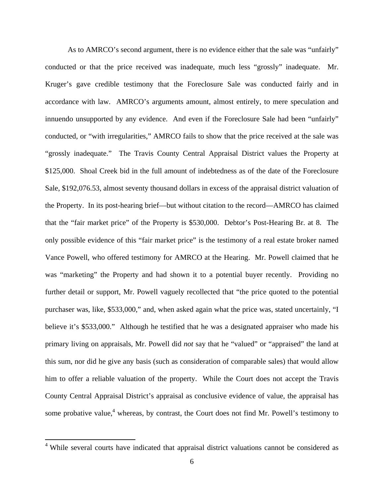As to AMRCO's second argument, there is no evidence either that the sale was "unfairly" conducted or that the price received was inadequate, much less "grossly" inadequate. Mr. Kruger's gave credible testimony that the Foreclosure Sale was conducted fairly and in accordance with law. AMRCO's arguments amount, almost entirely, to mere speculation and innuendo unsupported by any evidence. And even if the Foreclosure Sale had been "unfairly" conducted, or "with irregularities," AMRCO fails to show that the price received at the sale was "grossly inadequate." The Travis County Central Appraisal District values the Property at \$125,000. Shoal Creek bid in the full amount of indebtedness as of the date of the Foreclosure Sale, \$192,076.53, almost seventy thousand dollars in excess of the appraisal district valuation of the Property. In its post-hearing brief—but without citation to the record—AMRCO has claimed that the "fair market price" of the Property is \$530,000. Debtor's Post-Hearing Br. at 8. The only possible evidence of this "fair market price" is the testimony of a real estate broker named Vance Powell, who offered testimony for AMRCO at the Hearing. Mr. Powell claimed that he was "marketing" the Property and had shown it to a potential buyer recently. Providing no further detail or support, Mr. Powell vaguely recollected that "the price quoted to the potential purchaser was, like, \$533,000," and, when asked again what the price was, stated uncertainly, "I believe it's \$533,000." Although he testified that he was a designated appraiser who made his primary living on appraisals, Mr. Powell did *not* say that he "valued" or "appraised" the land at this sum, nor did he give any basis (such as consideration of comparable sales) that would allow him to offer a reliable valuation of the property. While the Court does not accept the Travis County Central Appraisal District's appraisal as conclusive evidence of value, the appraisal has some probative value,<sup>4</sup> whereas, by contrast, the Court does not find Mr. Powell's testimony to

<sup>&</sup>lt;sup>4</sup> While several courts have indicated that appraisal district valuations cannot be considered as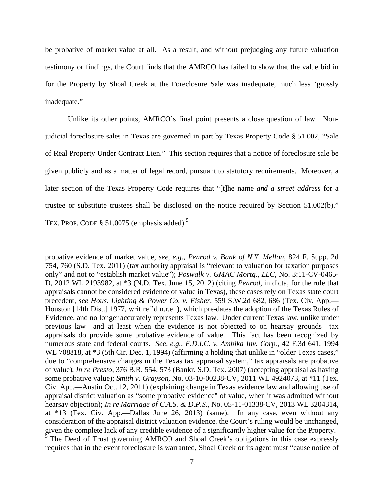be probative of market value at all. As a result, and without prejudging any future valuation testimony or findings, the Court finds that the AMRCO has failed to show that the value bid in for the Property by Shoal Creek at the Foreclosure Sale was inadequate, much less "grossly inadequate."

Unlike its other points, AMRCO's final point presents a close question of law. Nonjudicial foreclosure sales in Texas are governed in part by Texas Property Code § 51.002, "Sale of Real Property Under Contract Lien." This section requires that a notice of foreclosure sale be given publicly and as a matter of legal record, pursuant to statutory requirements. Moreover, a later section of the Texas Property Code requires that "[t]he name *and a street address* for a trustee or substitute trustees shall be disclosed on the notice required by Section 51.002(b)." TEX. PROP. CODE  $\S$  51.0075 (emphasis added).<sup>5</sup>

probative evidence of market value, *see, e.g.*, *Penrod v. Bank of N.Y. Mellon*, 824 F. Supp. 2d 754, 760 (S.D. Tex. 2011) (tax authority appraisal is "relevant to valuation for taxation purposes only" and not to "establish market value"); *Poswalk v. GMAC Mortg., LLC*, No. 3:11-CV-0465- D, 2012 WL 2193982, at \*3 (N.D. Tex. June 15, 2012) (citing *Penrod*, in dicta, for the rule that appraisals cannot be considered evidence of value in Texas), these cases rely on Texas state court precedent, *see Hous. Lighting & Power Co. v. Fisher*, 559 S.W.2d 682, 686 (Tex. Civ. App.— Houston [14th Dist.] 1977, writ ref'd n.r.e .), which pre-dates the adoption of the Texas Rules of Evidence, and no longer accurately represents Texas law. Under current Texas law, unlike under previous law—and at least when the evidence is not objected to on hearsay grounds—tax appraisals do provide some probative evidence of value. This fact has been recognized by numerous state and federal courts. *See, e.g.*, *F.D.I.C. v. Ambika Inv. Corp.*, 42 F.3d 641, 1994 WL 708818, at  $*3$  (5th Cir. Dec. 1, 1994) (affirming a holding that unlike in "older Texas cases," due to "comprehensive changes in the Texas tax appraisal system," tax appraisals are probative of value); *In re Presto*, 376 B.R. 554, 573 (Bankr. S.D. Tex. 2007) (accepting appraisal as having some probative value); *Smith v. Grayson*, No. 03-10-00238-CV, 2011 WL 4924073, at \*11 (Tex. Civ. App.—Austin Oct. 12, 2011) (explaining change in Texas evidence law and allowing use of appraisal district valuation as "some probative evidence" of value, when it was admitted without hearsay objection); *In re Marriage of C.A.S. & D.P.S*., No. 05-11-01338-CV, 2013 WL 3204314, at \*13 (Tex. Civ. App.—Dallas June 26, 2013) (same). In any case, even without any consideration of the appraisal district valuation evidence, the Court's ruling would be unchanged, given the complete lack of any credible evidence of a significantly higher value for the Property.  $5$  The Deed of Trust governing AMRCO and Shoal Creek's obligations in this case expressly requires that in the event foreclosure is warranted, Shoal Creek or its agent must "cause notice of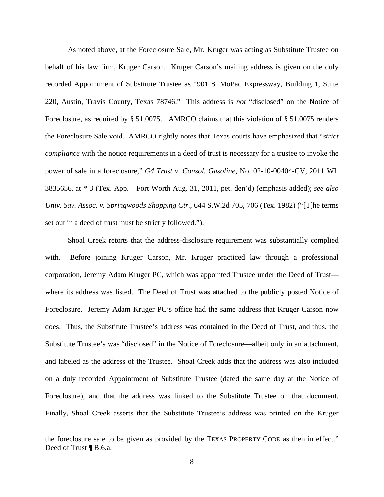As noted above, at the Foreclosure Sale, Mr. Kruger was acting as Substitute Trustee on behalf of his law firm, Kruger Carson. Kruger Carson's mailing address is given on the duly recorded Appointment of Substitute Trustee as "901 S. MoPac Expressway, Building 1, Suite 220, Austin, Travis County, Texas 78746." This address is *not* "disclosed" on the Notice of Foreclosure, as required by § 51.0075. AMRCO claims that this violation of § 51.0075 renders the Foreclosure Sale void. AMRCO rightly notes that Texas courts have emphasized that "*strict compliance* with the notice requirements in a deed of trust is necessary for a trustee to invoke the power of sale in a foreclosure," *G4 Trust v. Consol. Gasoline*, No. 02-10-00404-CV, 2011 WL 3835656, at \* 3 (Tex. App.—Fort Worth Aug. 31, 2011, pet. den'd) (emphasis added); *see also Univ. Sav. Assoc. v. Springwoods Shopping Ctr.*, 644 S.W.2d 705, 706 (Tex. 1982) ("[T]he terms set out in a deed of trust must be strictly followed.").

Shoal Creek retorts that the address-disclosure requirement was substantially complied with. Before joining Kruger Carson, Mr. Kruger practiced law through a professional corporation, Jeremy Adam Kruger PC, which was appointed Trustee under the Deed of Trust where its address was listed. The Deed of Trust was attached to the publicly posted Notice of Foreclosure. Jeremy Adam Kruger PC's office had the same address that Kruger Carson now does. Thus, the Substitute Trustee's address was contained in the Deed of Trust, and thus, the Substitute Trustee's was "disclosed" in the Notice of Foreclosure—albeit only in an attachment, and labeled as the address of the Trustee. Shoal Creek adds that the address was also included on a duly recorded Appointment of Substitute Trustee (dated the same day at the Notice of Foreclosure), and that the address was linked to the Substitute Trustee on that document. Finally, Shoal Creek asserts that the Substitute Trustee's address was printed on the Kruger

1

the foreclosure sale to be given as provided by the TEXAS PROPERTY CODE as then in effect." Deed of Trust ¶ B.6.a.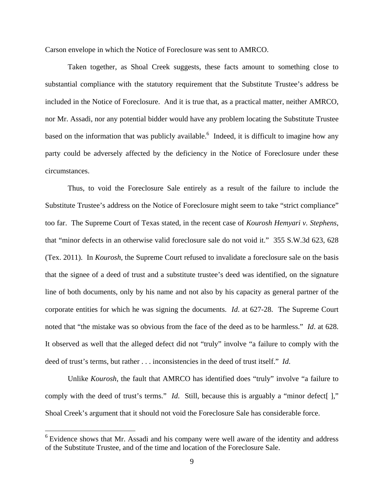Carson envelope in which the Notice of Foreclosure was sent to AMRCO.

Taken together, as Shoal Creek suggests, these facts amount to something close to substantial compliance with the statutory requirement that the Substitute Trustee's address be included in the Notice of Foreclosure. And it is true that, as a practical matter, neither AMRCO, nor Mr. Assadi, nor any potential bidder would have any problem locating the Substitute Trustee based on the information that was publicly available.<sup>6</sup> Indeed, it is difficult to imagine how any party could be adversely affected by the deficiency in the Notice of Foreclosure under these circumstances.

Thus, to void the Foreclosure Sale entirely as a result of the failure to include the Substitute Trustee's address on the Notice of Foreclosure might seem to take "strict compliance" too far. The Supreme Court of Texas stated, in the recent case of *Kourosh Hemyari v. Stephens*, that "minor defects in an otherwise valid foreclosure sale do not void it." 355 S.W.3d 623, 628 (Tex. 2011). In *Kourosh*, the Supreme Court refused to invalidate a foreclosure sale on the basis that the signee of a deed of trust and a substitute trustee's deed was identified, on the signature line of both documents, only by his name and not also by his capacity as general partner of the corporate entities for which he was signing the documents. *Id*. at 627-28. The Supreme Court noted that "the mistake was so obvious from the face of the deed as to be harmless." *Id*. at 628. It observed as well that the alleged defect did not "truly" involve "a failure to comply with the deed of trust's terms, but rather . . . inconsistencies in the deed of trust itself." *Id*.

Unlike *Kourosh*, the fault that AMRCO has identified does "truly" involve "a failure to comply with the deed of trust's terms." *Id*. Still, because this is arguably a "minor defect[ ]," Shoal Creek's argument that it should not void the Foreclosure Sale has considerable force.

1

<sup>&</sup>lt;sup>6</sup> Evidence shows that Mr. Assadi and his company were well aware of the identity and address of the Substitute Trustee, and of the time and location of the Foreclosure Sale.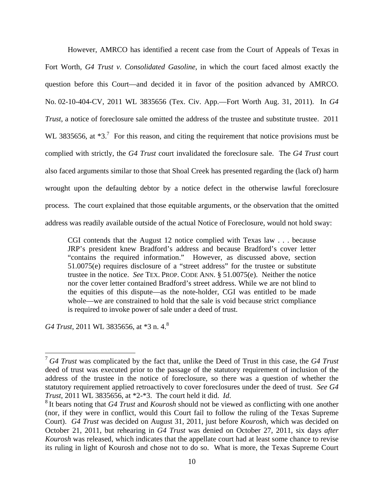However, AMRCO has identified a recent case from the Court of Appeals of Texas in Fort Worth, *G4 Trust v. Consolidated Gasoline*, in which the court faced almost exactly the question before this Court—and decided it in favor of the position advanced by AMRCO. No. 02-10-404-CV, 2011 WL 3835656 (Tex. Civ. App.—Fort Worth Aug. 31, 2011). In *G4 Trust*, a notice of foreclosure sale omitted the address of the trustee and substitute trustee. 2011 WL 3835656, at  $*3$ .<sup>7</sup> For this reason, and citing the requirement that notice provisions must be complied with strictly, the *G4 Trust* court invalidated the foreclosure sale. The *G4 Trust* court also faced arguments similar to those that Shoal Creek has presented regarding the (lack of) harm wrought upon the defaulting debtor by a notice defect in the otherwise lawful foreclosure process. The court explained that those equitable arguments, or the observation that the omitted address was readily available outside of the actual Notice of Foreclosure, would not hold sway:

CGI contends that the August 12 notice complied with Texas law . . . because JRP's president knew Bradford's address and because Bradford's cover letter "contains the required information." However, as discussed above, section 51.0075(e) requires disclosure of a "street address" for the trustee or substitute trustee in the notice. *See* TEX. PROP. CODE ANN. § 51.0075(e). Neither the notice nor the cover letter contained Bradford's street address. While we are not blind to the equities of this dispute—as the note-holder, CGI was entitled to be made whole—we are constrained to hold that the sale is void because strict compliance is required to invoke power of sale under a deed of trust.

*G4 Trust*, 2011 WL 3835656, at \*3 n. 4.<sup>8</sup>

<sup>7</sup>*G4 Trust* was complicated by the fact that, unlike the Deed of Trust in this case, the *G4 Trust* deed of trust was executed prior to the passage of the statutory requirement of inclusion of the address of the trustee in the notice of foreclosure, so there was a question of whether the statutory requirement applied retroactively to cover foreclosures under the deed of trust. *See G4 Trust*, 2011 WL 3835656, at \*2-\*3. The court held it did. *Id*. *Id*. 8 It bears noting that *G4 Trust* and *Kourosh* should not be viewed as conflicting with one another

<sup>(</sup>nor, if they were in conflict, would this Court fail to follow the ruling of the Texas Supreme Court). *G4 Trust* was decided on August 31, 2011, just before *Kourosh*, which was decided on October 21, 2011, but rehearing in *G4 Trust* was denied on October 27, 2011, six days *after Kourosh* was released, which indicates that the appellate court had at least some chance to revise its ruling in light of Kourosh and chose not to do so. What is more, the Texas Supreme Court